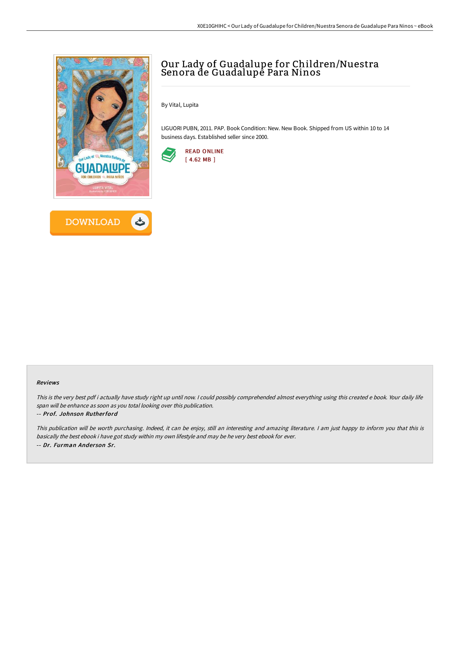



## Our Lady of Guadalupe for Children/Nuestra Senora de Guadalupė Para Ninos

By Vital, Lupita

LIGUORI PUBN, 2011. PAP. Book Condition: New. New Book. Shipped from US within 10 to 14 business days. Established seller since 2000.



#### Reviews

This is the very best pdf i actually have study right up until now. <sup>I</sup> could possibly comprehended almost everything using this created <sup>e</sup> book. Your daily life span will be enhance as soon as you total looking over this publication.

#### -- Prof. Johnson Rutherford

This publication will be worth purchasing. Indeed, it can be enjoy, still an interesting and amazing literature. <sup>I</sup> am just happy to inform you that this is basically the best ebook i have got study within my own lifestyle and may be he very best ebook for ever. -- Dr. Furman Ander son Sr.